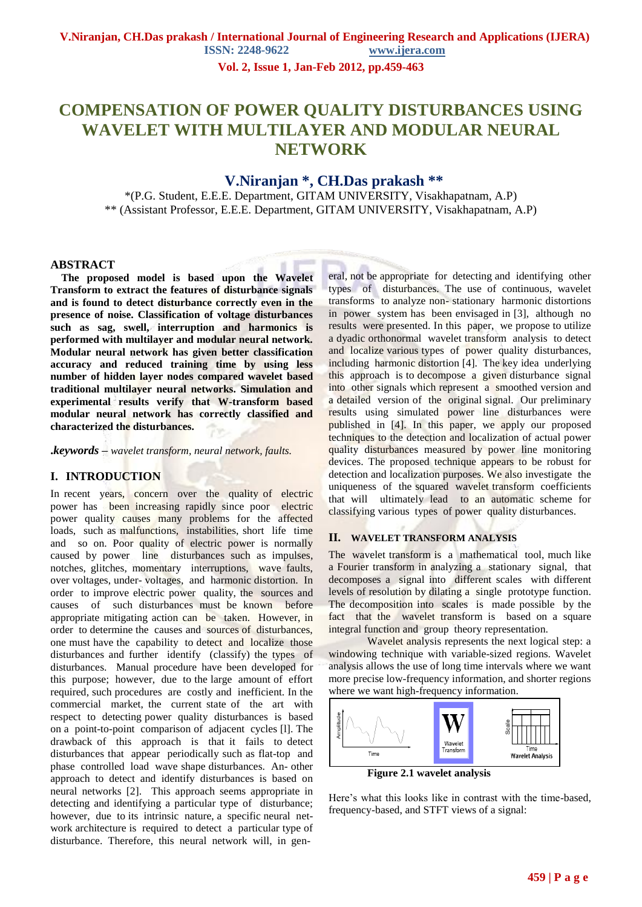**Vol. 2, Issue 1, Jan-Feb 2012, pp.459-463**

# **COMPENSATION OF POWER QUALITY DISTURBANCES USING WAVELET WITH MULTILAYER AND MODULAR NEURAL NETWORK**

# **V.Niranjan \*, CH.Das prakash \*\***

\*(P.G. Student, E.E.E. Department, GITAM UNIVERSITY, Visakhapatnam, A.P) \*\* (Assistant Professor, E.E.E. Department, GITAM UNIVERSITY, Visakhapatnam, A.P)

### **ABSTRACT**

 **The proposed model is based upon the Wavelet Transform to extract the features of disturbance signals and is found to detect disturbance correctly even in the presence of noise. Classification of voltage disturbances such as sag, swell, interruption and harmonics is performed with multilayer and modular neural network. Modular neural network has given better classification accuracy and reduced training time by using less number of hidden layer nodes compared wavelet based traditional multilayer neural networks. Simulation and experimental results verify that W-transform based modular neural network has correctly classified and characterized the disturbances.**

**.***keywords* **–** *wavelet transform, neural network, faults.*

# **I. INTRODUCTION**

In recent years, concern over the quality of electric power has been increasing rapidly since poor electric power quality causes many problems for the affected loads, such as malfunctions, instabilities, short life time and so on. Poor quality of electric power is normally caused by power line disturbances such as impulses, notches, glitches, momentary interruptions, wave faults, over voltages, under- voltages, and harmonic distortion. In order to improve electric power quality, the sources and causes of such disturbances must be known before appropriate mitigating action can be taken. However, in order to determine the causes and sources of disturbances, one must have the capability to detect and localize those disturbances and further identify (classify) the types of disturbances. Manual procedure have been developed for this purpose; however, due to the large amount of effort required, such procedures are costly and inefficient. In the commercial market, the current state of the art with respect to detecting power quality disturbances is based on a point-to-point comparison of adjacent cycles [l]. The drawback of this approach is that it fails to detect disturbances that appear periodically such as flat-top and phase controlled load wave shape disturbances. An- other approach to detect and identify disturbances is based on neural networks [2]. This approach seems appropriate in detecting and identifying a particular type of disturbance; however, due to its intrinsic nature, a specific neural network architecture is required to detect a particular type of disturbance. Therefore, this neural network will, in general, not be appropriate for detecting and identifying other types of disturbances. The use of continuous, wavelet transforms to analyze non- stationary harmonic distortions in power system has been envisaged in [3], although no results were presented. In this paper, we propose to utilize a dyadic orthonormal wavelet transform analysis to detect and localize various types of power quality disturbances, including harmonic distortion [4]. The key idea underlying this approach is to decompose a given disturbance signal into other signals which represent a smoothed version and a detailed version of the original signal. Our preliminary results using simulated power line disturbances were published in [4]. In this paper, we apply our proposed techniques to the detection and localization of actual power quality disturbances measured by power line monitoring devices. The proposed technique appears to be robust for detection and localization purposes. We also investigate the uniqueness of the squared wavelet transform coefficients that will ultimately lead to an automatic scheme for classifying various types of power quality disturbances.

### **II. WAVELET TRANSFORM ANALYSIS**

The wavelet transform is a mathematical tool, much like a Fourier transform in analyzing a stationary signal, that decomposes a signal into different scales with different levels of resolution by dilating a single prototype function. The decomposition into scales is made possible by the fact that the wavelet transform is based on a square integral function and group theory representation.

Wavelet analysis represents the next logical step: a windowing technique with variable-sized regions. Wavelet analysis allows the use of long time intervals where we want more precise low-frequency information, and shorter regions where we want high-frequency information.



Here's what this looks like in contrast with the time-based, frequency-based, and STFT views of a signal: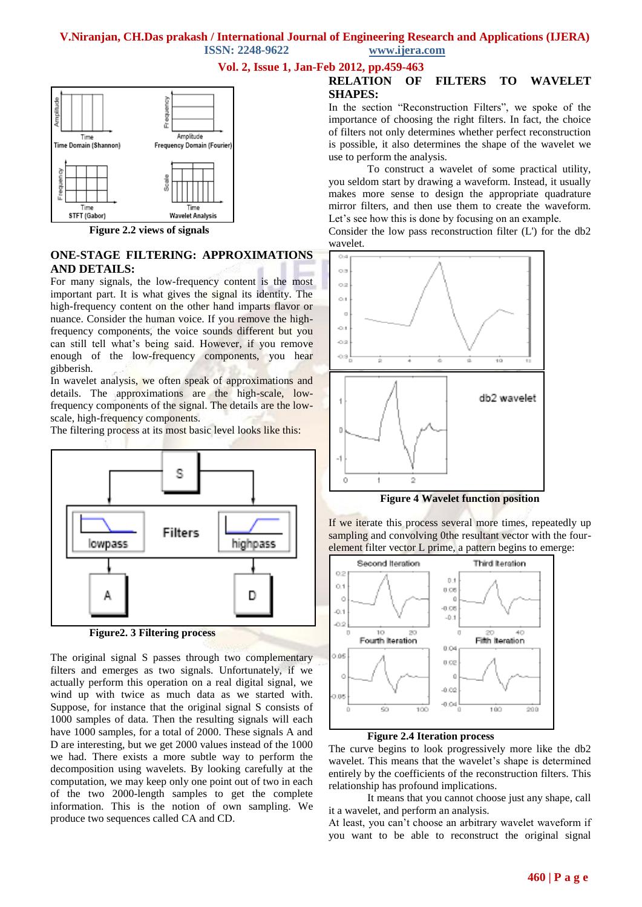**ISSN: 2248-9622 www.ijera.com**

**Vol. 2, Issue 1, Jan-Feb 2012, pp.459-463**



**Figure 2.2 views of signals**

# **ONE-STAGE FILTERING: APPROXIMATIONS AND DETAILS:**

For many signals, the low-frequency content is the most important part. It is what gives the signal its identity. The high-frequency content on the other hand imparts flavor or nuance. Consider the human voice. If you remove the highfrequency components, the voice sounds different but you can still tell what's being said. However, if you remove enough of the low-frequency components, you hear gibberish.

In wavelet analysis, we often speak of approximations and details. The approximations are the high-scale, lowfrequency components of the signal. The details are the lowscale, high-frequency components.

The filtering process at its most basic level looks like this:





The original signal S passes through two complementary filters and emerges as two signals. Unfortunately, if we actually perform this operation on a real digital signal, we wind up with twice as much data as we started with. Suppose, for instance that the original signal S consists of 1000 samples of data. Then the resulting signals will each have 1000 samples, for a total of 2000. These signals A and D are interesting, but we get 2000 values instead of the 1000 we had. There exists a more subtle way to perform the decomposition using wavelets. By looking carefully at the computation, we may keep only one point out of two in each of the two 2000-length samples to get the complete information. This is the notion of own sampling. We produce two sequences called CA and CD.

# **RELATION OF FILTERS TO WAVELET SHAPES:**

In the section "Reconstruction Filters", we spoke of the importance of choosing the right filters. In fact, the choice of filters not only determines whether perfect reconstruction is possible, it also determines the shape of the wavelet we use to perform the analysis.

To construct a wavelet of some practical utility, you seldom start by drawing a waveform. Instead, it usually makes more sense to design the appropriate quadrature mirror filters, and then use them to create the waveform. Let's see how this is done by focusing on an example.

Consider the low pass reconstruction filter (L') for the db2 wavelet.



**Figure 4 Wavelet function position**

If we iterate this process several more times, repeatedly up sampling and convolving 0the resultant vector with the fourelement filter vector L prime, a pattern begins to emerge:



### **Figure 2.4 Iteration process**

The curve begins to look progressively more like the db2 wavelet. This means that the wavelet's shape is determined entirely by the coefficients of the reconstruction filters. This relationship has profound implications.

It means that you cannot choose just any shape, call it a wavelet, and perform an analysis.

At least, you can't choose an arbitrary wavelet waveform if you want to be able to reconstruct the original signal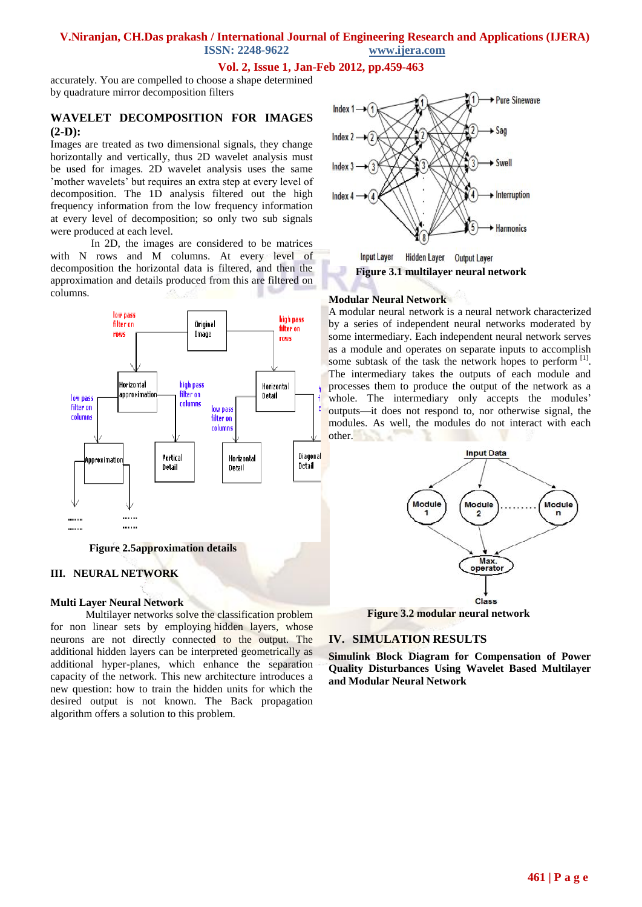**ISSN: 2248-9622 www.ijera.com**

# **Vol. 2, Issue 1, Jan-Feb 2012, pp.459-463**

accurately. You are compelled to choose a shape determined by quadrature mirror decomposition filters

# **WAVELET DECOMPOSITION FOR IMAGES (2-D):**

Images are treated as two dimensional signals, they change horizontally and vertically, thus 2D wavelet analysis must be used for images. 2D wavelet analysis uses the same 'mother wavelets' but requires an extra step at every level of decomposition. The 1D analysis filtered out the high frequency information from the low frequency information at every level of decomposition; so only two sub signals were produced at each level.

 In 2D, the images are considered to be matrices with N rows and M columns. At every level of decomposition the horizontal data is filtered, and then the approximation and details produced from this are filtered on columns.



**Figure 2.5approximation details**

## **III. NEURAL NETWORK**

## **Multi Layer Neural Network**

Multilayer networks solve the classification problem for non linear sets by employing hidden layers, whose neurons are not directly connected to the output. The additional hidden layers can be interpreted geometrically as additional hyper-planes, which enhance the separation capacity of the network. This new architecture introduces a new question: how to train the hidden units for which the desired output is not known. The Back propagation algorithm offers a solution to this problem.



Hidden Layer Output Layer **Input Layer Figure 3.1 multilayer neural network**

### **Modular Neural Network**

A modular neural network is a [neural network](http://en.wikipedia.org/wiki/Neural_network) characterized by a series of independent neural networks moderated by some intermediary. Each independent neural network serves as a module and operates on separate inputs to accomplish some subtask of the task the network hopes to perform [\[1\]](http://en.wikipedia.org/wiki/Modular_neural_networks#cite_note-Azom.2C_2000-0). The intermediary takes the outputs of each module and processes them to produce the output of the network as a whole. The intermediary only accepts the modules' outputs—it does not respond to, nor otherwise signal, the modules. As well, the modules do not interact with each other. 3. . .



## **IV. SIMULATION RESULTS**

**Simulink Block Diagram for Compensation of Power Quality Disturbances Using Wavelet Based Multilayer and Modular Neural Network**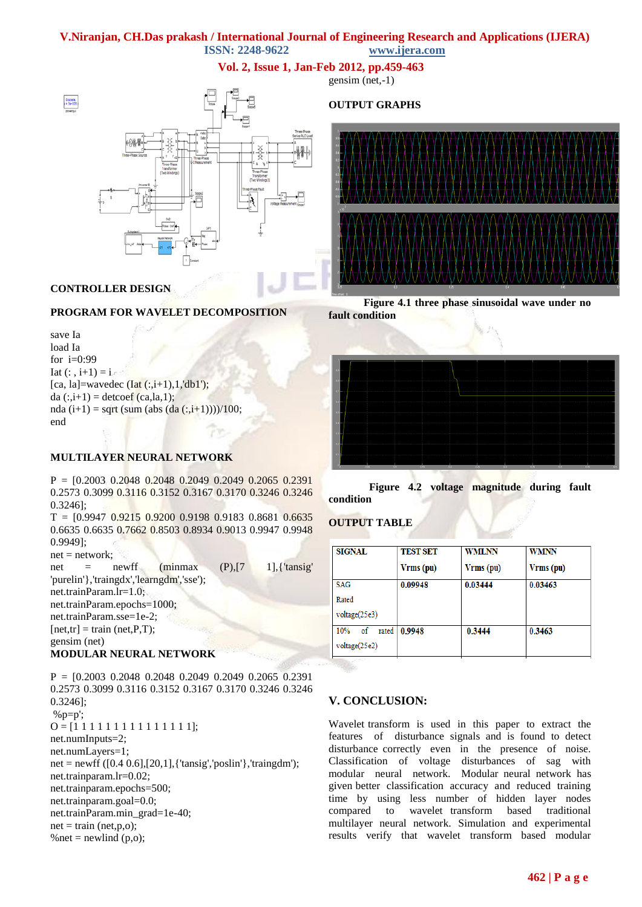**ISSN: 2248-9622 www.ijera.com**

**Vol. 2, Issue 1, Jan-Feb 2012, pp.459-463**



### **CONTROLLER DESIGN**

### **PROGRAM FOR WAVELET DECOMPOSITION**

save Ia load Ia for i=0:99 Iat  $(:, i+1) = i$ [ca, la]=wavedec  $(Iat(:,i+1),1,'db1');$ da  $(:,i+1) =$  detcoef (ca,la,1); nda (i+1) = sqrt (sum (abs (da (:,i+1))))/100; end

### **MULTILAYER NEURAL NETWORK**

 $P = [0.2003 \ 0.2048 \ 0.2048 \ 0.2049 \ 0.2049 \ 0.2065 \ 0.2391]$ 0.2573 0.3099 0.3116 0.3152 0.3167 0.3170 0.3246 0.3246 0.3246];

 $T = [0.9947 \ 0.9215 \ 0.9200 \ 0.9198 \ 0.9183 \ 0.8681 \ 0.6635]$ 0.6635 0.6635 0.7662 0.8503 0.8934 0.9013 0.9947 0.9948 0.9949];

 $net = network;$ 

net = newff (minmax  $(P), [7 \t 1],$ {'tansig' 'purelin'},'traingdx','learngdm','sse'); net.trainParam.lr=1.0; net.trainParam.epochs=1000; net.trainParam.sse=1e-2;  $[net,tr] = train (net,P,T);$ gensim (net)

### **MODULAR NEURAL NETWORK**

P = [0.2003 0.2048 0.2048 0.2049 0.2049 0.2065 0.2391 0.2573 0.3099 0.3116 0.3152 0.3167 0.3170 0.3246 0.3246 0.3246];  $%p=p$ ;  $O = [1 1 1 1 1 1 1 1 1 1 1 1 1 1]$ ; net.numInputs=2; net.numLayers=1;  $net = newff ([0.4 0.6], [20,1], { 'tansig', 'poslin' } , 'trainingdm');$ net.trainparam.lr=0.02; net.trainparam.epochs=500; net.trainparam.goal=0.0; net.trainParam.min\_grad=1e-40;  $net = train (net,p,o);$ % net = newlind  $(p, o)$ ;

**OUTPUT GRAPHS**







### **Figure 4.2 voltage magnitude during fault condition**

### **OUTPUT TABLE**

| <b>TEST SET</b> | <b>WMLNN</b> | <b>WMNN</b> |
|-----------------|--------------|-------------|
| Vrms (pu)       | Vrms (pu)    | Vrms (pu)   |
| 0.09948         | 0.03444      | 0.03463     |
|                 |              |             |
|                 |              |             |
| 0.9948          | 0.3444       | 0.3463      |
|                 |              |             |
|                 |              |             |

### **V. CONCLUSION:**

Wavelet transform is used in this paper to extract the features of disturbance signals and is found to detect disturbance correctly even in the presence of noise. Classification of voltage disturbances of sag with modular neural network. Modular neural network has given better classification accuracy and reduced training time by using less number of hidden layer nodes compared to wavelet transform based traditional multilayer neural network. Simulation and experimental results verify that wavelet transform based modular